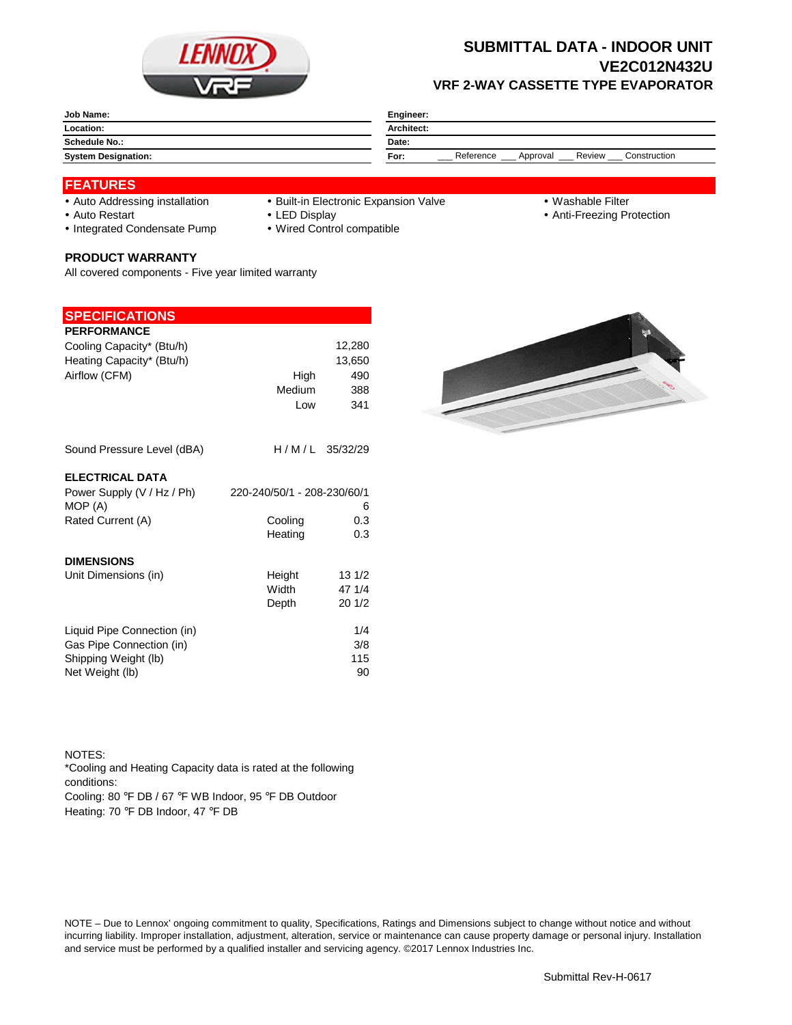

## **SUBMITTAL DATA - INDOOR UNIT VE2C012N432U VRF 2-WAY CASSETTE TYPE EVAPORATOR**

| Job Name:                  | Engineer:                                               |  |  |
|----------------------------|---------------------------------------------------------|--|--|
| Location:                  | Architect:                                              |  |  |
| <b>Schedule No.:</b>       | Date:                                                   |  |  |
| <b>System Designation:</b> | Reference<br>Review<br>Construction<br>For:<br>Approval |  |  |

### **FEATURES**

- 
- Auto Addressing installation Built-in Electronic Expansion Valve Washable Filter
	-

- 
- Auto Restart **LED Display Community Auto Restart Auto Restart Community Community Community Community Community Community Community Community Community Community Community Community Community Community Community Communit**
- Integrated Condensate Pump Wired Control compatible

#### **PRODUCT WARRANTY**

All covered components - Five year limited warranty

#### **SPECIFICATIONS**

| <b>PERFORMANCE</b>                    |                             |        |
|---------------------------------------|-----------------------------|--------|
| Cooling Capacity* (Btu/h)             |                             | 12,280 |
| Heating Capacity* (Btu/h)             |                             | 13,650 |
| Airflow (CFM)                         | High                        | 490    |
|                                       | Medium                      | 388    |
|                                       | Low                         | 341    |
| Sound Pressure Level (dBA)            | H/M/L 35/32/29              |        |
| <b>ELECTRICAL DATA</b>                |                             |        |
| Power Supply (V / Hz / Ph)<br>MOP (A) | 220-240/50/1 - 208-230/60/1 | 6      |
| Rated Current (A)                     | Cooling                     | 0.3    |
|                                       | Heating                     | 0.3    |
| <b>DIMENSIONS</b>                     |                             |        |
| Unit Dimensions (in)                  | Height                      | 131/2  |
|                                       | Width                       | 47 1/4 |
|                                       | Depth                       | 201/2  |
| Liquid Pipe Connection (in)           |                             | 1/4    |
| Gas Pipe Connection (in)              |                             | 3/8    |
| Shipping Weight (lb)                  |                             | 115    |
| Net Weight (lb)                       |                             | 90     |

NOTES: Cooling: 80 °F DB / 67 °F WB Indoor, 95 °F DB Outdoor Heating: 70 °F DB Indoor, 47 °F DB \*Cooling and Heating Capacity data is rated at the following conditions:

NOTE – Due to Lennox' ongoing commitment to quality, Specifications, Ratings and Dimensions subject to change without notice and without incurring liability. Improper installation, adjustment, alteration, service or maintenance can cause property damage or personal injury. Installation and service must be performed by a qualified installer and servicing agency. ©2017 Lennox Industries Inc.